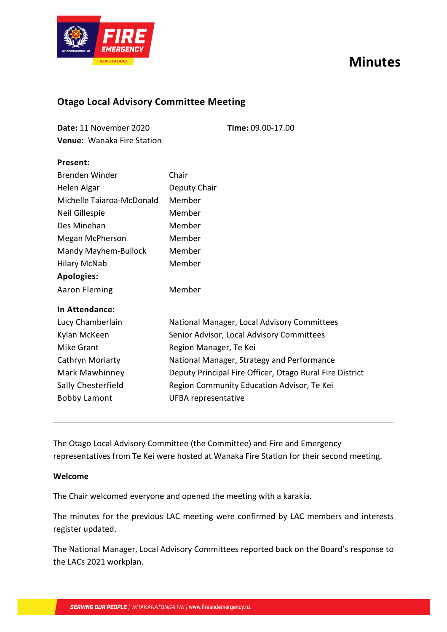# **Minutes**



### **Otago Local Advisory Committee Meeting**

| Date: 11 November 2020            | <b>Time: 09.00-17.00</b> |
|-----------------------------------|--------------------------|
| <b>Venue: Wanaka Fire Station</b> |                          |

### **Present:**

| Chair                                                    |
|----------------------------------------------------------|
| Deputy Chair                                             |
| Member                                                   |
| Member                                                   |
| Member                                                   |
| Member                                                   |
| Member                                                   |
| Member                                                   |
|                                                          |
| Member                                                   |
|                                                          |
| National Manager, Local Advisory Committees              |
| Senior Advisor, Local Advisory Committees                |
| Region Manager, Te Kei                                   |
| National Manager, Strategy and Performance               |
| Deputy Principal Fire Officer, Otago Rural Fire District |
| Region Community Education Advisor, Te Kei               |
| UFBA representative                                      |
|                                                          |

The Otago Local Advisory Committee (the Committee) and Fire and Emergency representatives from Te Kei were hosted at Wanaka Fire Station for their second meeting.

#### **Welcome**

The Chair welcomed everyone and opened the meeting with a karakia.

The minutes for the previous LAC meeting were confirmed by LAC members and interests register updated.

The National Manager, Local Advisory Committees reported back on the Board's response to the LACs 2021 workplan.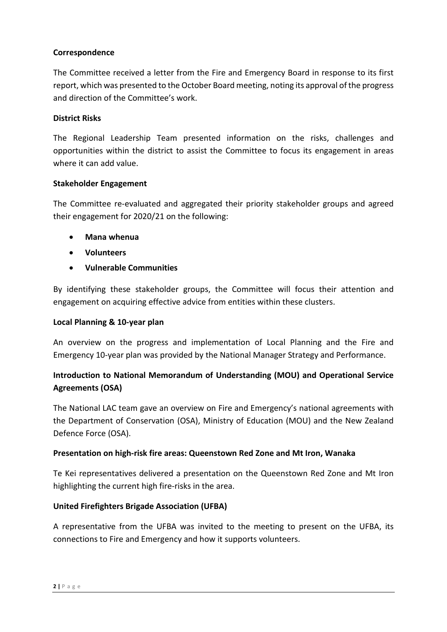### **Correspondence**

The Committee received a letter from the Fire and Emergency Board in response to its first report, which was presented to the October Board meeting, noting its approval of the progress and direction of the Committee's work.

### **District Risks**

The Regional Leadership Team presented information on the risks, challenges and opportunities within the district to assist the Committee to focus its engagement in areas where it can add value.

### **Stakeholder Engagement**

The Committee re-evaluated and aggregated their priority stakeholder groups and agreed their engagement for 2020/21 on the following:

- **Mana whenua**
- **Volunteers**
- **Vulnerable Communities**

By identifying these stakeholder groups, the Committee will focus their attention and engagement on acquiring effective advice from entities within these clusters.

#### **Local Planning & 10-year plan**

An overview on the progress and implementation of Local Planning and the Fire and Emergency 10-year plan was provided by the National Manager Strategy and Performance.

### **Introduction to National Memorandum of Understanding (MOU) and Operational Service Agreements (OSA)**

The National LAC team gave an overview on Fire and Emergency's national agreements with the Department of Conservation (OSA), Ministry of Education (MOU) and the New Zealand Defence Force (OSA).

### **Presentation on high-risk fire areas: Queenstown Red Zone and Mt Iron, Wanaka**

Te Kei representatives delivered a presentation on the Queenstown Red Zone and Mt Iron highlighting the current high fire-risks in the area.

### **United Firefighters Brigade Association (UFBA)**

A representative from the UFBA was invited to the meeting to present on the UFBA, its connections to Fire and Emergency and how it supports volunteers.